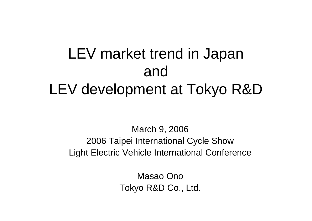# LEV market trend in Japan and LEV development at Tokyo R&D

March 9, 2006 2006 Taipei International Cycle Show Light Electric Vehicle International Conference

> Masao OnoTokyo R&D Co., Ltd.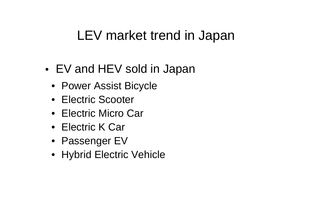# LEV market trend in Japan

- • EV and HEV sold in Japan
	- Power Assist Bicycle
	- Electric Scooter
	- Electric Micro Car
	- Electric K Car
	- Passenger EV
	- Hybrid Electric Vehicle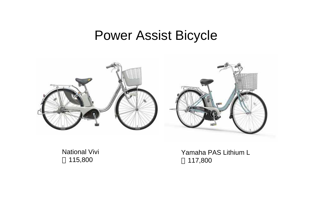### Power Assist Bicycle



National Vivi 115,800

Yamaha PAS Lithium L 117,800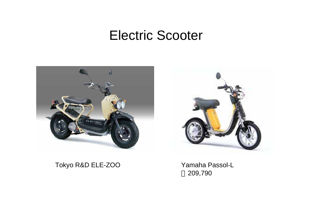### Electric Scooter



#### Tokyo R&D ELE-ZOO Yamaha Passol-L

209,790

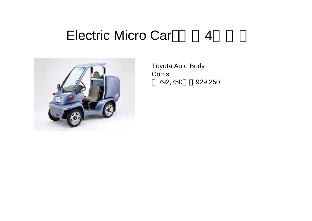#### Electric Micro Car 4



Toyota Auto Body Coms 792,750 929,250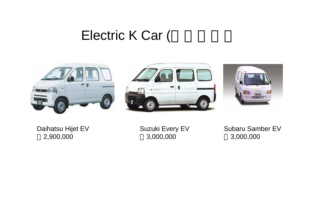## Electric K Car (







Daihatsu Hijet EV 2,900,000

Suzuki Every EV 3,000,000

Subaru Samber EV 3,000,000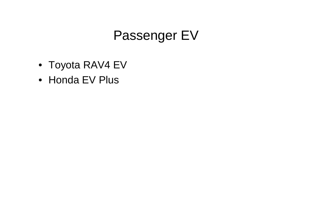# Passenger EV

- Toyota RAV4 EV
- Honda EV Plus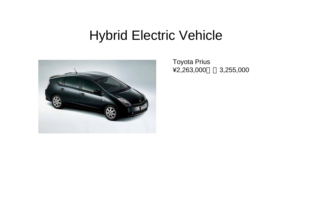# Hybrid Electric Vehicle



Toyota Prius ¥2,263,000 3,255,000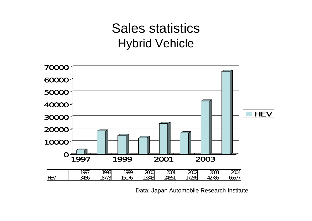## Sales statistics Hybrid Vehicle



Data: Japan Automobile Research Institute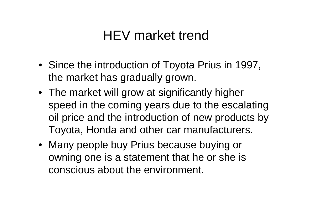# HEV market trend

- Since the introduction of Toyota Prius in 1997, the market has gradually grown.
- The market will grow at significantly higher speed in the coming years due to the escalating oil price and the introduction of new products by Toyota, Honda and other car manufacturers.
- Many people buy Prius because buying or owning one is a statement that he or she is conscious about the environment.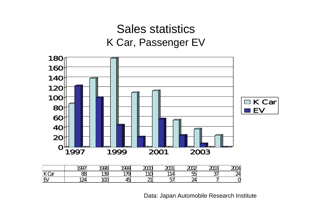#### Sales statistics K Car, Passenger EV



Data: Japan Automobile Research Institute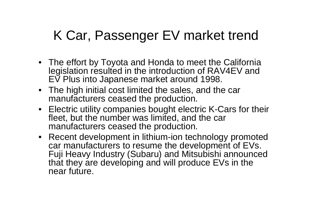# K Car, Passenger EV market trend

- The effort by Toyota and Honda to meet the California legislation resulted in the introduction of RAV4EV and EV Plus into Japanese market around 1998.
- The high initial cost limited the sales, and the car manufacturers ceased the production.
- Electric utility companies bought electric K-Cars for their fleet, but the number was limited, and the car manufacturers ceased the production.
- Recent development in lithium-ion technology promoted car manufacturers to resume the development of EVs. Fuji Heavy Industry (Subaru) and Mitsubishi announced that they are developing and will produce EVs in the near future.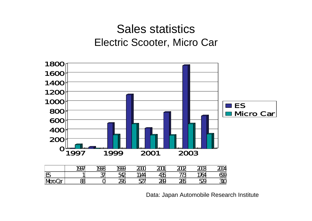#### Sales statistics Electric Scooter, Micro Car



Data: Japan Automobile Research Institute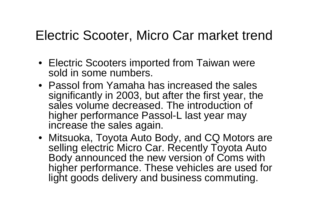# Electric Scooter, Micro Car market trend

- Electric Scooters imported from Taiwan were sold in some numbers.
- Passol from Yamaha has increased the sales significantly in 2003, but after the first year, the sales volume decreased. The introduction of higher performance Passol-L last year may increase the sales again.
- Mitsuoka, Toyota Auto Body, and CQ Motors are selling electric Micro Car. Recently Toyota Auto Body announced the new version of Coms with higher performance. These vehicles are used for light goods delivery and business commuting.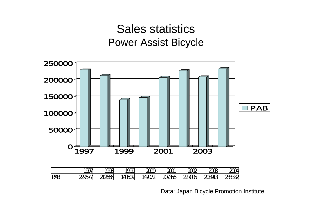#### Sales statistics Power Assist Bicycle



Data: Japan Bicycle Promotion Institute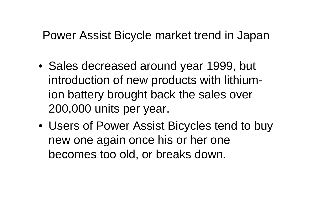### Power Assist Bicycle market trend in Japan

- Sales decreased around year 1999, but introduction of new products with lithiumion battery brought back the sales over 200,000 units per year.
- Users of Power Assist Bicycles tend to buy new one again once his or her one becomes too old, or breaks down.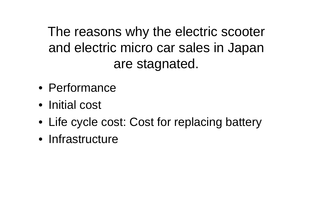The reasons why the electric scooter and electric micro car sales in Japan are stagnated.

- Performance
- Initial cost
- Life cycle cost: Cost for replacing battery
- Infrastructure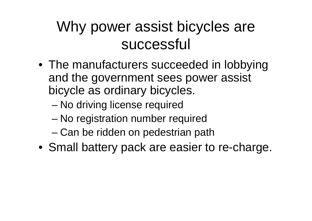# Why power assist bicycles are successful

- The manufacturers succeeded in lobbying and the government sees power assist bicycle as ordinary bicycles.
	- No driving license required
	- –No registration number required
	- –Can be ridden on pedestrian path
- Small battery pack are easier to re-charge.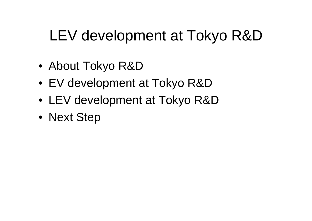# LEV development at Tokyo R&D

- About Tokyo R&D
- EV development at Tokyo R&D
- LEV development at Tokyo R&D
- Next Step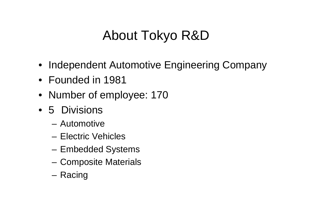# About Tokyo R&D

- Independent Automotive Engineering Company
- Founded in 1981
- Number of employee: 170
- 5 Divisions
	- Automotive
	- Electric Vehicles
	- Embedded Systems
	- Composite Materials
	- Racing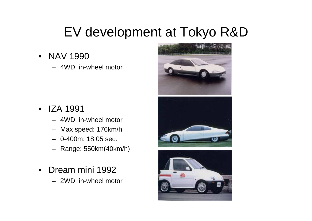# EV development at Tokyo R&D

- NAV 1990
	- 4WD, in-wheel motor

- $\bullet$  IZA 1991
	- 4WD, in-wheel motor
	- Max speed: 176km/h
	- 0-400m: 18.05 sec.
	- Range: 550km(40km/h)
- $\bullet$  Dream mini 1992
	- 2WD, in-wheel motor

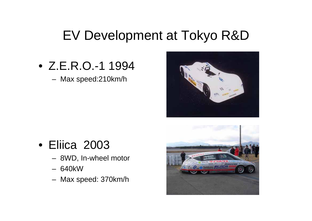## EV Development at Tokyo R&D

• Z.E.R.O.-1 1994

Max speed:210km/h



### • Eliica 2003

- 8WD, In-wheel motor
- 640kW
- Max speed: 370km/h

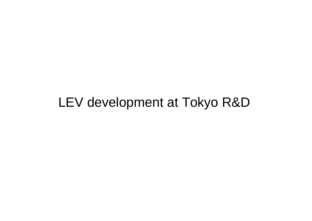# LEV development at Tokyo R&D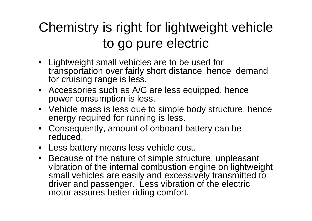# Chemistry is right for lightweight vehicle to go pure electric

- Lightweight small vehicles are to be used for transportation over fairly short distance, hence demand for cruising range is less.
- Accessories such as A/C are less equipped, hence power consumption is less.
- Vehicle mass is less due to simple body structure, hence energy required for running is less.
- Consequently, amount of onboard battery can be reduced.
- Less battery means less vehicle cost.
- Because of the nature of simple structure, unpleasant vibration of the internal combustion engine on lightweight small vehicles are easily and excessively transmitted to driver and passenger. Less vibration of the electric motor assures better riding comfort.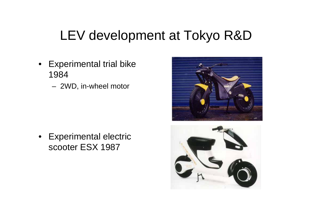# LEV development at Tokyo R&D

- Experimental trial bike 1984
	- 2WD, in-wheel motor

• Experimental electric scooter ESX 1987



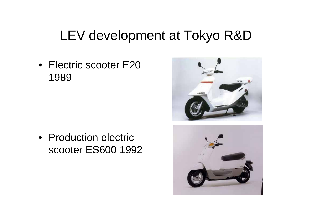# LEV development at Tokyo R&D

• Electric scooter E20 1989

• Production electric scooter ES600 1992



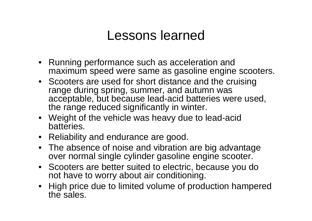### Lessons learned

- Running performance such as acceleration and maximum speed were same as gasoline engine scooters.
- Scooters are used for short distance and the cruising range during spring, summer, and autumn was acceptable, but because lead-acid batteries were used, the range reduced significantly in winter.
- Weight of the vehicle was heavy due to lead-acid batteries.
- Reliability and endurance are good.
- The absence of noise and vibration are big advantage over normal single cylinder gasoline engine scooter.
- Scooters are better suited to electric, because you do not have to worry about air conditioning.
- High price due to limited volume of production hampered the sales.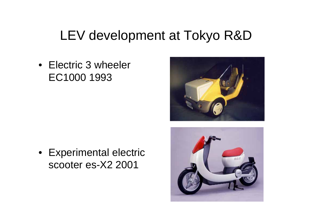# LEV development at Tokyo R&D

• Electric 3 wheeler EC1000 1993





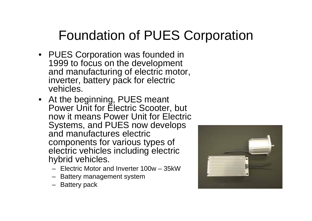# Foundation of PUES Corporation

- PUES Corporation was founded in 1999 to focus on the development and manufacturing of electric motor, inverter, battery pack for electric vehicles.
- At the beginning, PUES meant Power Unit for Electric Scooter, but now it means Power Unit for Electric Systems, and PUES now develops and manufactures electric components for various types of electric vehicles including electric hybrid vehicles.
	- Electric Motor and Inverter 100w 35kW
	- Battery management system
	- Battery pack

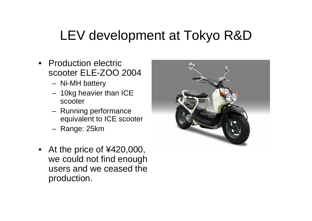# LEV development at Tokyo R&D

- Production electric scooter ELE-ZOO 2004
	- Ni-MH battery
	- 10kg heavier than ICE scooter
	- Running performance equivalent to ICE scooter
	- Range: 25km
- At the price of ¥420,000, we could not find enough users and we ceased the production.

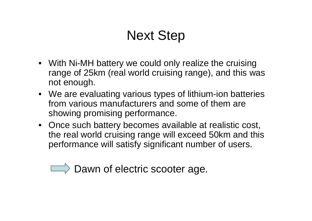# Next Step

- With Ni-MH battery we could only realize the cruising range of 25km (real world cruising range), and this was not enough.
- We are evaluating various types of lithium-ion batteries from various manufacturers and some of them are showing promising performance.
- Once such battery becomes available at realistic cost, the real world cruising range will exceed 50km and this performance will satisfy significant number of users.

 $\Box$  Dawn of electric scooter age.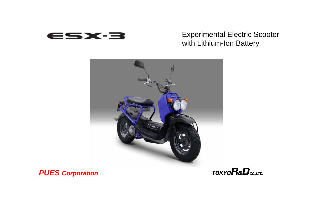

#### Experimental Electric Scooter with Lithium-Ion Battery



#### *PUES Corporation*

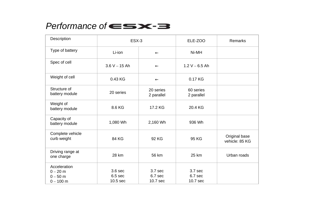#### Performance of  $\epsilon \leq$   $\epsilon$   $\leq$

| Description                                             | ESX-3                                     |                                  | ELE-ZOO                          | Remarks                         |
|---------------------------------------------------------|-------------------------------------------|----------------------------------|----------------------------------|---------------------------------|
| Type of battery                                         | Li-ion                                    |                                  | Ni-MH                            |                                 |
| Spec of cell                                            | $3.6 V - 15 Ah$                           |                                  | $1.2 V - 6.5 Ah$                 |                                 |
| Weight of cell                                          | 0.43 KG                                   |                                  | 0.17 KG                          |                                 |
| Structure of<br>battery module                          | 20 series                                 | 20 series<br>2 parallel          | 60 series<br>2 parallel          |                                 |
| Weight of<br>battery module                             | 8.6 KG                                    | 17.2 KG                          | 20.4 KG                          |                                 |
| Capacity of<br>battery module                           | 1,080 Wh                                  | 2,160 Wh                         | 936 Wh                           |                                 |
| Complete vehicle<br>curb weight                         | 84 KG                                     | 92 KG                            | 95 KG                            | Original base<br>vehicle: 85 KG |
| Driving range at<br>one charge                          | 28 km                                     | 56 km                            | 25 km                            | Urban roads                     |
| Acceleration<br>$0 - 20$ m<br>$0 - 50$ m<br>$0 - 100$ m | 3.6 sec<br>6.5 <sub>sec</sub><br>10.5 sec | 3.7 sec<br>$6.7$ sec<br>10.7 sec | 3.7 sec<br>$6.7$ sec<br>10.7 sec |                                 |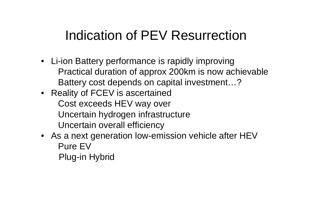# Indication of PEV Resurrection

- Li-ion Battery performance is rapidly improving Practical duration of approx 200km is now achievable Battery cost depends on capital investment…?
- Reality of FCEV is ascertained Cost exceeds HEV way over Uncertain hydrogen infrastructure Uncertain overall efficiency
- As a next generation low-emission vehicle after HEV Pure EV
	- Plug-in Hybrid